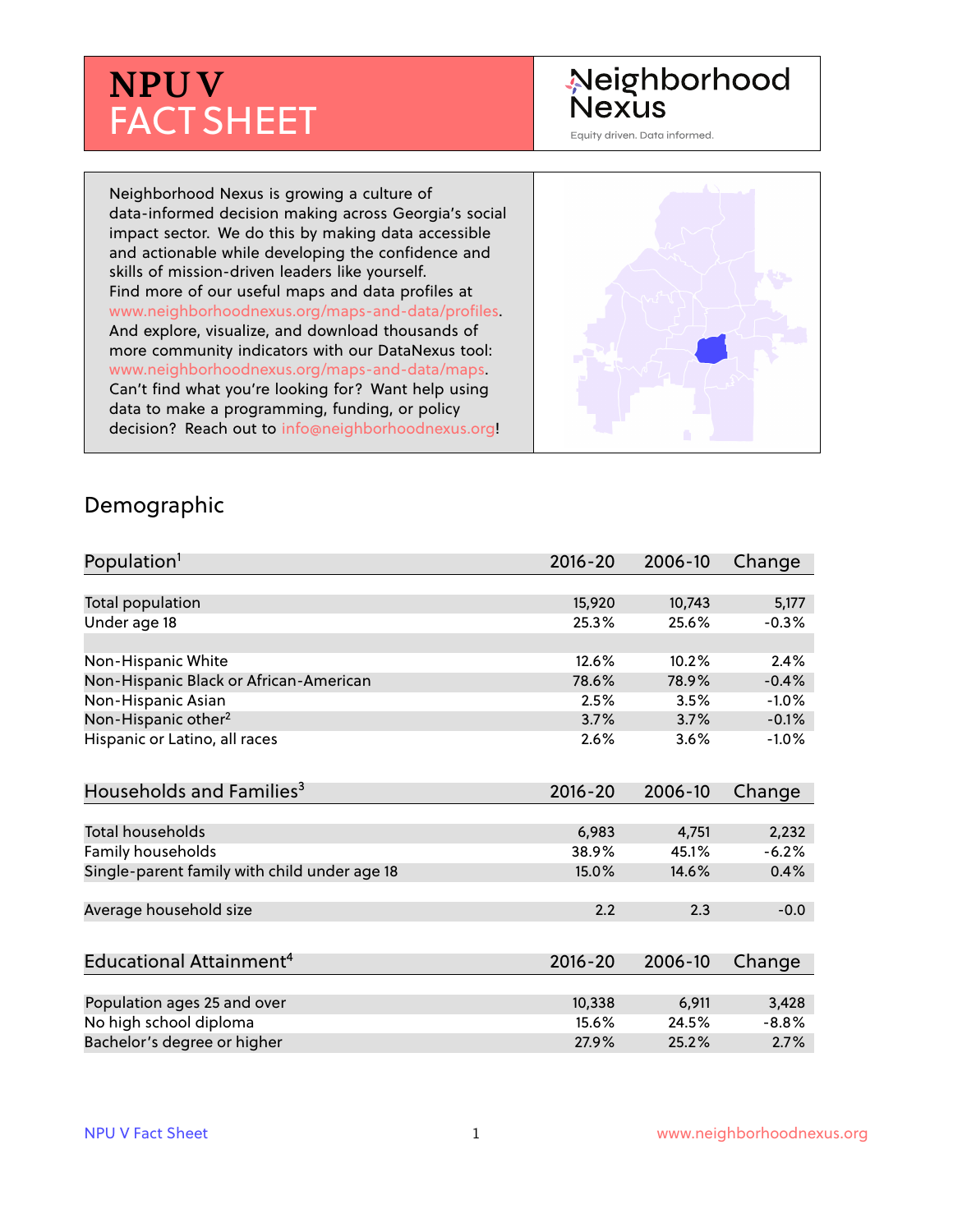# **NPU V** FACT SHEET

## Neighborhood **Nexus**

Equity driven. Data informed.

Neighborhood Nexus is growing a culture of data-informed decision making across Georgia's social impact sector. We do this by making data accessible and actionable while developing the confidence and skills of mission-driven leaders like yourself. Find more of our useful maps and data profiles at www.neighborhoodnexus.org/maps-and-data/profiles. And explore, visualize, and download thousands of more community indicators with our DataNexus tool: www.neighborhoodnexus.org/maps-and-data/maps. Can't find what you're looking for? Want help using data to make a programming, funding, or policy decision? Reach out to [info@neighborhoodnexus.org!](mailto:info@neighborhoodnexus.org)



#### Demographic

| Population <sup>1</sup>                      | $2016 - 20$ | 2006-10 | Change  |
|----------------------------------------------|-------------|---------|---------|
|                                              |             |         |         |
| Total population                             | 15,920      | 10,743  | 5,177   |
| Under age 18                                 | 25.3%       | 25.6%   | $-0.3%$ |
|                                              |             |         |         |
| Non-Hispanic White                           | 12.6%       | 10.2%   | 2.4%    |
| Non-Hispanic Black or African-American       | 78.6%       | 78.9%   | $-0.4%$ |
| Non-Hispanic Asian                           | 2.5%        | 3.5%    | $-1.0%$ |
| Non-Hispanic other <sup>2</sup>              | 3.7%        | 3.7%    | $-0.1%$ |
| Hispanic or Latino, all races                | 2.6%        | 3.6%    | $-1.0%$ |
|                                              |             |         |         |
| Households and Families <sup>3</sup>         | $2016 - 20$ | 2006-10 | Change  |
|                                              |             |         |         |
| <b>Total households</b>                      | 6,983       | 4,751   | 2,232   |
| Family households                            | 38.9%       | 45.1%   | $-6.2%$ |
| Single-parent family with child under age 18 | 15.0%       | 14.6%   | 0.4%    |
|                                              |             |         |         |
| Average household size                       | 2.2         | 2.3     | $-0.0$  |
|                                              |             |         |         |
| Educational Attainment <sup>4</sup>          | $2016 - 20$ | 2006-10 | Change  |
|                                              |             |         |         |
| Population ages 25 and over                  | 10,338      | 6,911   | 3,428   |
| No high school diploma                       | 15.6%       | 24.5%   | $-8.8%$ |
| Bachelor's degree or higher                  | 27.9%       | 25.2%   | 2.7%    |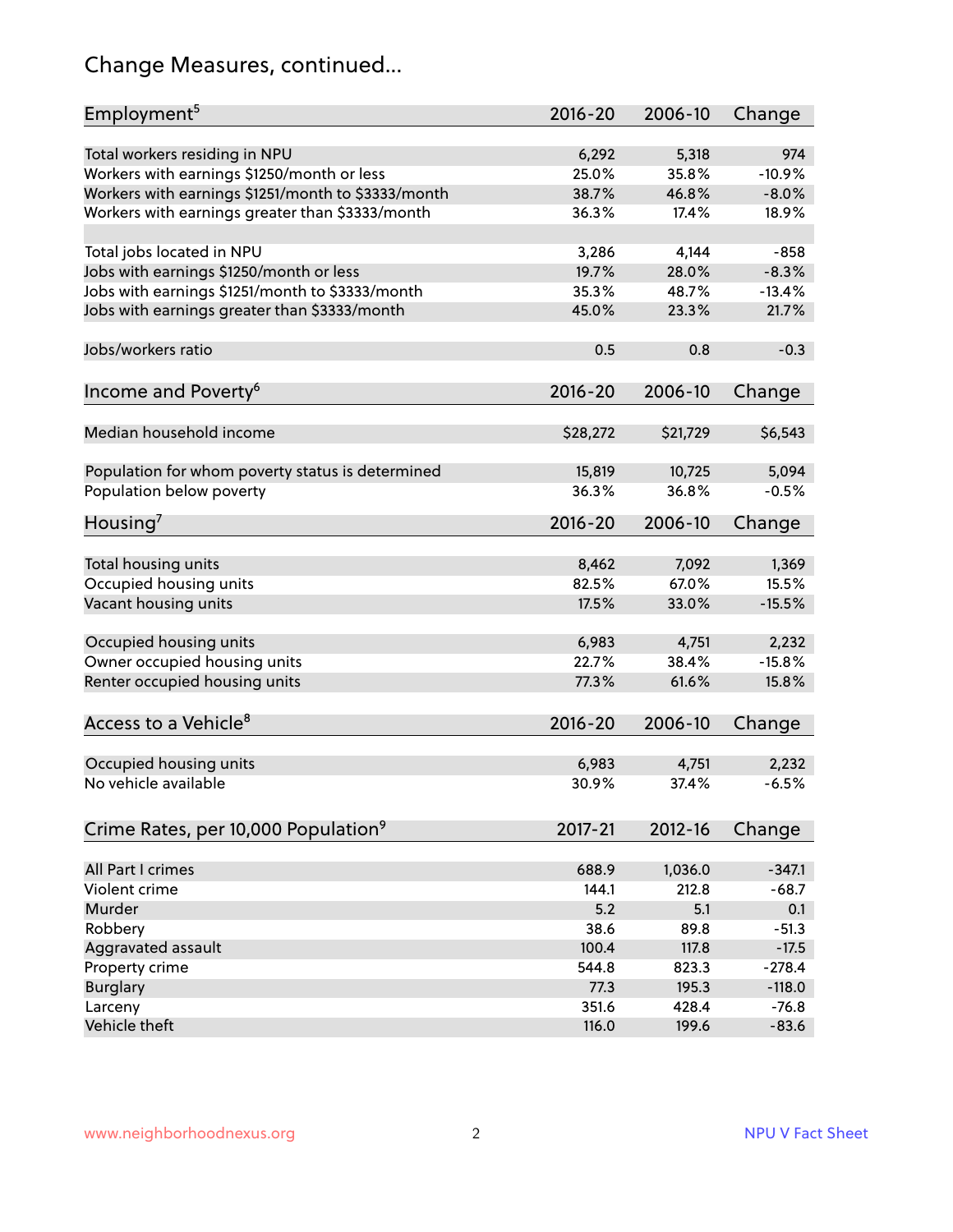## Change Measures, continued...

| Employment <sup>5</sup>                            | $2016 - 20$ | 2006-10     | Change   |
|----------------------------------------------------|-------------|-------------|----------|
|                                                    |             |             |          |
| Total workers residing in NPU                      | 6,292       | 5,318       | 974      |
| Workers with earnings \$1250/month or less         | 25.0%       | 35.8%       | $-10.9%$ |
| Workers with earnings \$1251/month to \$3333/month | 38.7%       | 46.8%       | $-8.0%$  |
| Workers with earnings greater than \$3333/month    | 36.3%       | 17.4%       | 18.9%    |
| Total jobs located in NPU                          | 3,286       | 4,144       | $-858$   |
| Jobs with earnings \$1250/month or less            | 19.7%       | 28.0%       | $-8.3%$  |
| Jobs with earnings \$1251/month to \$3333/month    | 35.3%       | 48.7%       | $-13.4%$ |
| Jobs with earnings greater than \$3333/month       | 45.0%       | 23.3%       | 21.7%    |
|                                                    |             |             |          |
| Jobs/workers ratio                                 | 0.5         | 0.8         | $-0.3$   |
|                                                    | $2016 - 20$ |             |          |
| Income and Poverty <sup>6</sup>                    |             | 2006-10     | Change   |
| Median household income                            | \$28,272    | \$21,729    | \$6,543  |
|                                                    |             |             |          |
| Population for whom poverty status is determined   | 15,819      | 10,725      | 5,094    |
| Population below poverty                           | 36.3%       | 36.8%       | $-0.5%$  |
|                                                    |             |             |          |
| Housing <sup>7</sup>                               | $2016 - 20$ | 2006-10     | Change   |
| Total housing units                                | 8,462       | 7,092       | 1,369    |
|                                                    | 82.5%       | 67.0%       | 15.5%    |
| Occupied housing units                             |             |             |          |
| Vacant housing units                               | 17.5%       | 33.0%       | $-15.5%$ |
| Occupied housing units                             | 6,983       | 4,751       | 2,232    |
| Owner occupied housing units                       | 22.7%       | 38.4%       | $-15.8%$ |
| Renter occupied housing units                      | 77.3%       | 61.6%       | 15.8%    |
|                                                    |             |             |          |
| Access to a Vehicle <sup>8</sup>                   | $2016 - 20$ | 2006-10     | Change   |
|                                                    |             |             |          |
| Occupied housing units                             | 6,983       | 4,751       | 2,232    |
| No vehicle available                               | 30.9%       | 37.4%       | $-6.5%$  |
|                                                    |             |             |          |
| Crime Rates, per 10,000 Population <sup>9</sup>    | 2017-21     | $2012 - 16$ | Change   |
|                                                    |             |             |          |
| All Part I crimes                                  | 688.9       | 1,036.0     | $-347.1$ |
| Violent crime                                      | 144.1       | 212.8       | $-68.7$  |
| Murder                                             | 5.2         | 5.1         | 0.1      |
| Robbery                                            | 38.6        | 89.8        | $-51.3$  |
| Aggravated assault                                 | 100.4       | 117.8       | $-17.5$  |
| Property crime                                     | 544.8       | 823.3       | $-278.4$ |
| <b>Burglary</b>                                    | 77.3        | 195.3       | $-118.0$ |
| Larceny                                            | 351.6       | 428.4       | $-76.8$  |
| Vehicle theft                                      | 116.0       | 199.6       | $-83.6$  |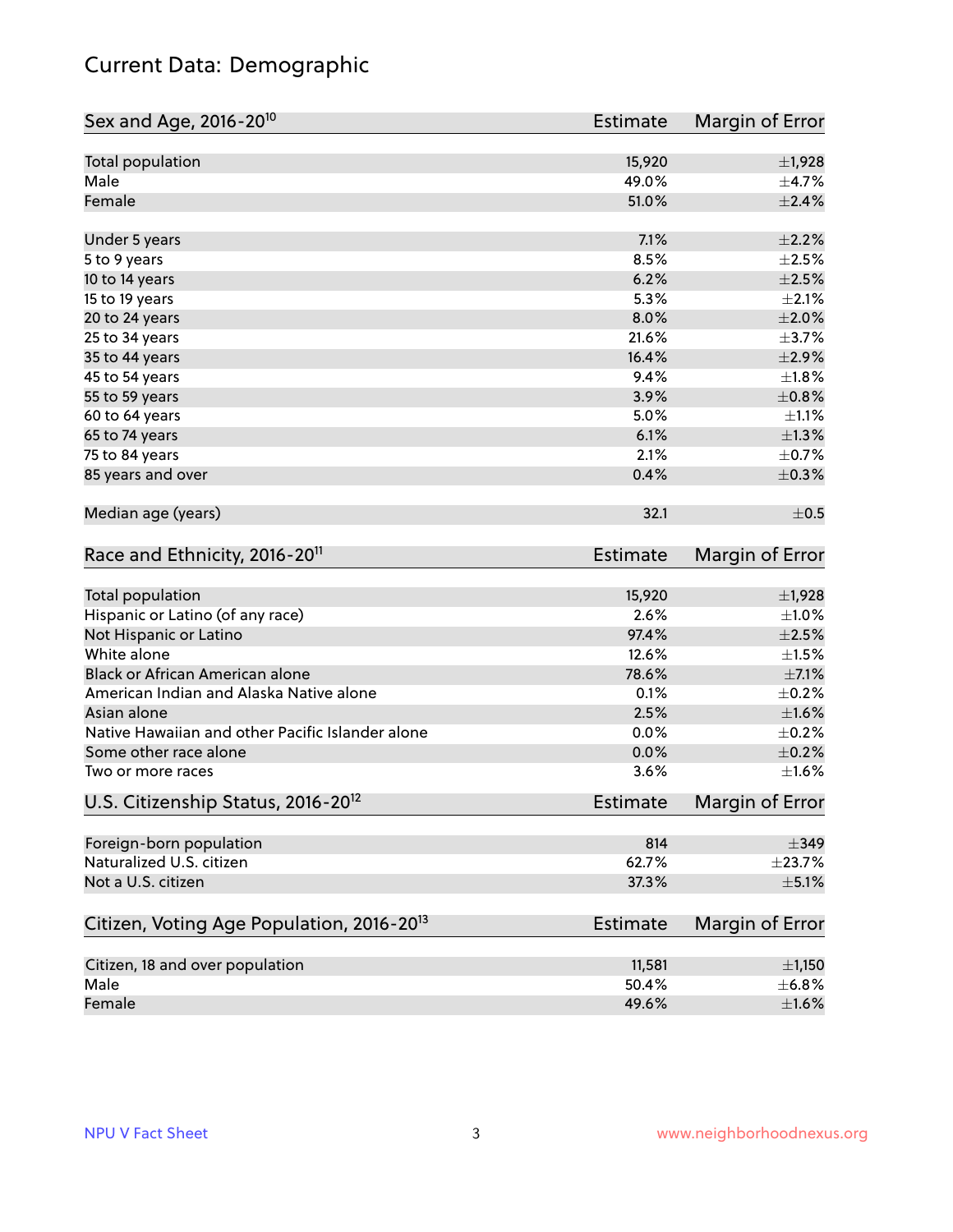## Current Data: Demographic

| Sex and Age, 2016-20 <sup>10</sup>                    | Estimate        | Margin of Error |
|-------------------------------------------------------|-----------------|-----------------|
| Total population                                      | 15,920          | $\pm$ 1,928     |
| Male                                                  | 49.0%           | $\pm$ 4.7%      |
| Female                                                | 51.0%           | $\pm 2.4\%$     |
| Under 5 years                                         | 7.1%            | $\pm 2.2\%$     |
| 5 to 9 years                                          | 8.5%            | $\pm 2.5\%$     |
| 10 to 14 years                                        | 6.2%            | $\pm 2.5\%$     |
| 15 to 19 years                                        | 5.3%            | $\pm 2.1\%$     |
| 20 to 24 years                                        | 8.0%            | $\pm 2.0\%$     |
| 25 to 34 years                                        | 21.6%           | $\pm$ 3.7%      |
| 35 to 44 years                                        | 16.4%           | $\pm 2.9\%$     |
| 45 to 54 years                                        | 9.4%            | ±1.8%           |
| 55 to 59 years                                        | 3.9%            | $\pm$ 0.8%      |
| 60 to 64 years                                        | 5.0%            | $\pm 1.1\%$     |
| 65 to 74 years                                        | 6.1%            | $\pm 1.3\%$     |
| 75 to 84 years                                        | 2.1%            | $\pm$ 0.7%      |
| 85 years and over                                     | 0.4%            | $\pm$ 0.3%      |
| Median age (years)                                    | 32.1            | $\pm$ 0.5       |
| Race and Ethnicity, 2016-20 <sup>11</sup>             | <b>Estimate</b> | Margin of Error |
| Total population                                      | 15,920          | $\pm$ 1,928     |
| Hispanic or Latino (of any race)                      | 2.6%            | $\pm 1.0\%$     |
| Not Hispanic or Latino                                | 97.4%           | $\pm 2.5\%$     |
| White alone                                           | 12.6%           | $\pm 1.5\%$     |
| Black or African American alone                       | 78.6%           | $\pm$ 7.1%      |
| American Indian and Alaska Native alone               | 0.1%            | $\pm$ 0.2%      |
| Asian alone                                           | 2.5%            | $\pm1.6\%$      |
| Native Hawaiian and other Pacific Islander alone      | 0.0%            | $\pm$ 0.2%      |
| Some other race alone                                 | 0.0%            | $\pm$ 0.2%      |
| Two or more races                                     | 3.6%            | $\pm 1.6\%$     |
| U.S. Citizenship Status, 2016-20 <sup>12</sup>        | <b>Estimate</b> | Margin of Error |
| Foreign-born population                               | 814             | $\pm$ 349       |
| Naturalized U.S. citizen                              | 62.7%           | ±23.7%          |
| Not a U.S. citizen                                    | 37.3%           | $\pm$ 5.1%      |
| Citizen, Voting Age Population, 2016-20 <sup>13</sup> | <b>Estimate</b> | Margin of Error |
| Citizen, 18 and over population                       | 11,581          | $\pm$ 1,150     |
| Male                                                  | 50.4%           | ±6.8%           |
| Female                                                | 49.6%           | $\pm 1.6\%$     |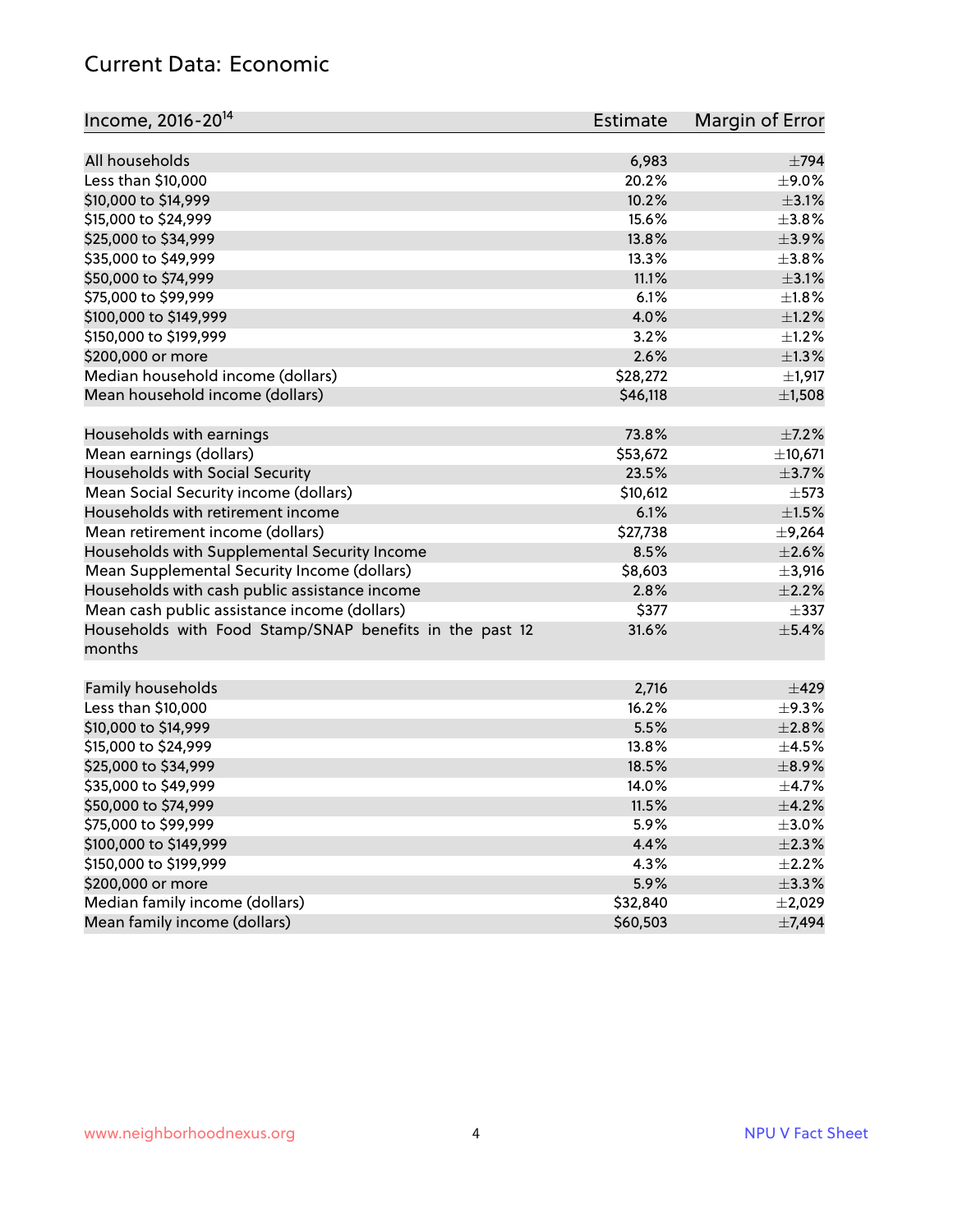#### Current Data: Economic

| Income, 2016-20 <sup>14</sup>                           | Estimate | Margin of Error |
|---------------------------------------------------------|----------|-----------------|
| All households                                          | 6,983    | $\pm$ 794       |
| Less than \$10,000                                      | 20.2%    | $\pm$ 9.0%      |
| \$10,000 to \$14,999                                    | 10.2%    | $\pm$ 3.1%      |
| \$15,000 to \$24,999                                    | 15.6%    | $\pm$ 3.8%      |
| \$25,000 to \$34,999                                    | 13.8%    | $\pm$ 3.9%      |
|                                                         | 13.3%    | $\pm$ 3.8%      |
| \$35,000 to \$49,999                                    | 11.1%    |                 |
| \$50,000 to \$74,999                                    |          | $\pm$ 3.1%      |
| \$75,000 to \$99,999                                    | 6.1%     | $\pm1.8\%$      |
| \$100,000 to \$149,999                                  | 4.0%     | $\pm$ 1.2%      |
| \$150,000 to \$199,999                                  | 3.2%     | $\pm 1.2\%$     |
| \$200,000 or more                                       | 2.6%     | $\pm$ 1.3%      |
| Median household income (dollars)                       | \$28,272 | ±1,917          |
| Mean household income (dollars)                         | \$46,118 | $\pm$ 1,508     |
| Households with earnings                                | 73.8%    | $\pm$ 7.2%      |
| Mean earnings (dollars)                                 | \$53,672 | ±10,671         |
| Households with Social Security                         | 23.5%    | $\pm$ 3.7%      |
| Mean Social Security income (dollars)                   | \$10,612 | $\pm$ 573       |
| Households with retirement income                       | 6.1%     | $\pm 1.5\%$     |
| Mean retirement income (dollars)                        | \$27,738 | $\pm$ 9,264     |
| Households with Supplemental Security Income            | 8.5%     | $\pm 2.6\%$     |
| Mean Supplemental Security Income (dollars)             | \$8,603  | $\pm$ 3,916     |
| Households with cash public assistance income           | 2.8%     | $\pm 2.2\%$     |
| Mean cash public assistance income (dollars)            | \$377    | $\pm$ 337       |
| Households with Food Stamp/SNAP benefits in the past 12 | 31.6%    | $\pm$ 5.4%      |
| months                                                  |          |                 |
| Family households                                       | 2,716    | ±429            |
| Less than \$10,000                                      | 16.2%    | $\pm$ 9.3%      |
| \$10,000 to \$14,999                                    | 5.5%     | ±2.8%           |
| \$15,000 to \$24,999                                    | 13.8%    | $\pm$ 4.5%      |
| \$25,000 to \$34,999                                    | 18.5%    | $\pm$ 8.9%      |
| \$35,000 to \$49,999                                    | 14.0%    | $\pm$ 4.7%      |
| \$50,000 to \$74,999                                    | 11.5%    | $\pm$ 4.2%      |
| \$75,000 to \$99,999                                    | 5.9%     | $\pm 3.0\%$     |
| \$100,000 to \$149,999                                  | 4.4%     | $\pm 2.3\%$     |
|                                                         |          |                 |
| \$150,000 to \$199,999                                  | 4.3%     | $\pm 2.2\%$     |
| \$200,000 or more                                       | 5.9%     | ±3.3%           |
| Median family income (dollars)                          | \$32,840 | $\pm 2,029$     |
| Mean family income (dollars)                            | \$60,503 | ±7,494          |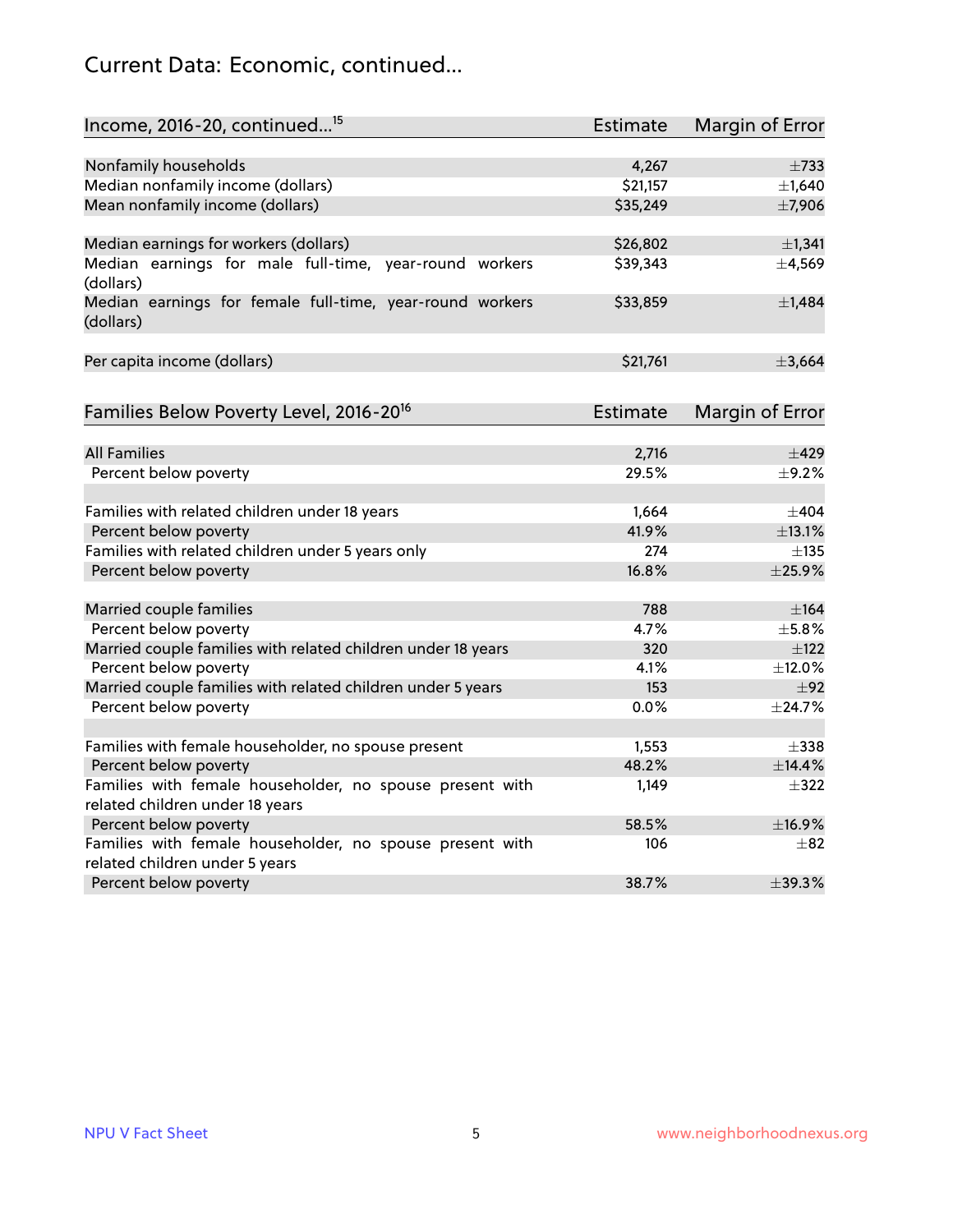## Current Data: Economic, continued...

| Income, 2016-20, continued <sup>15</sup>                              | <b>Estimate</b> | <b>Margin of Error</b> |
|-----------------------------------------------------------------------|-----------------|------------------------|
|                                                                       |                 |                        |
| Nonfamily households                                                  | 4,267           | $\pm 733$              |
| Median nonfamily income (dollars)                                     | \$21,157        | ±1,640                 |
| Mean nonfamily income (dollars)                                       | \$35,249        | ±7,906                 |
| Median earnings for workers (dollars)                                 | \$26,802        | $\pm$ 1,341            |
| Median earnings for male full-time, year-round workers                | \$39,343        | ±4,569                 |
| (dollars)                                                             |                 |                        |
| Median earnings for female full-time, year-round workers<br>(dollars) | \$33,859        | $\pm$ 1,484            |
| Per capita income (dollars)                                           | \$21,761        | ±3,664                 |
| Families Below Poverty Level, 2016-20 <sup>16</sup>                   | Estimate        | <b>Margin of Error</b> |
|                                                                       |                 |                        |
| <b>All Families</b>                                                   | 2,716           | $\pm 429$              |
| Percent below poverty                                                 | 29.5%           | $\pm$ 9.2%             |
| Families with related children under 18 years                         | 1,664           | $\pm$ 404              |
| Percent below poverty                                                 | 41.9%           | ±13.1%                 |
| Families with related children under 5 years only                     | 274             | $\pm$ 135              |
| Percent below poverty                                                 | 16.8%           | ±25.9%                 |
| Married couple families                                               | 788             | $\pm$ 164              |
| Percent below poverty                                                 | 4.7%            | $\pm$ 5.8%             |
| Married couple families with related children under 18 years          | 320             | $\pm$ 122              |
| Percent below poverty                                                 | 4.1%            | ±12.0%                 |
| Married couple families with related children under 5 years           | 153             | ±92                    |
| Percent below poverty                                                 | $0.0\%$         | ±24.7%                 |
| Families with female householder, no spouse present                   | 1,553           | $\pm$ 338              |
| Percent below poverty                                                 | 48.2%           | ±14.4%                 |
| Families with female householder, no spouse present with              | 1,149           | $\pm$ 322              |
| related children under 18 years                                       |                 |                        |
| Percent below poverty                                                 | 58.5%           | ±16.9%                 |
| Families with female householder, no spouse present with              | 106             | $\pm$ 82               |
| related children under 5 years                                        |                 |                        |
| Percent below poverty                                                 | 38.7%           | $\pm$ 39.3%            |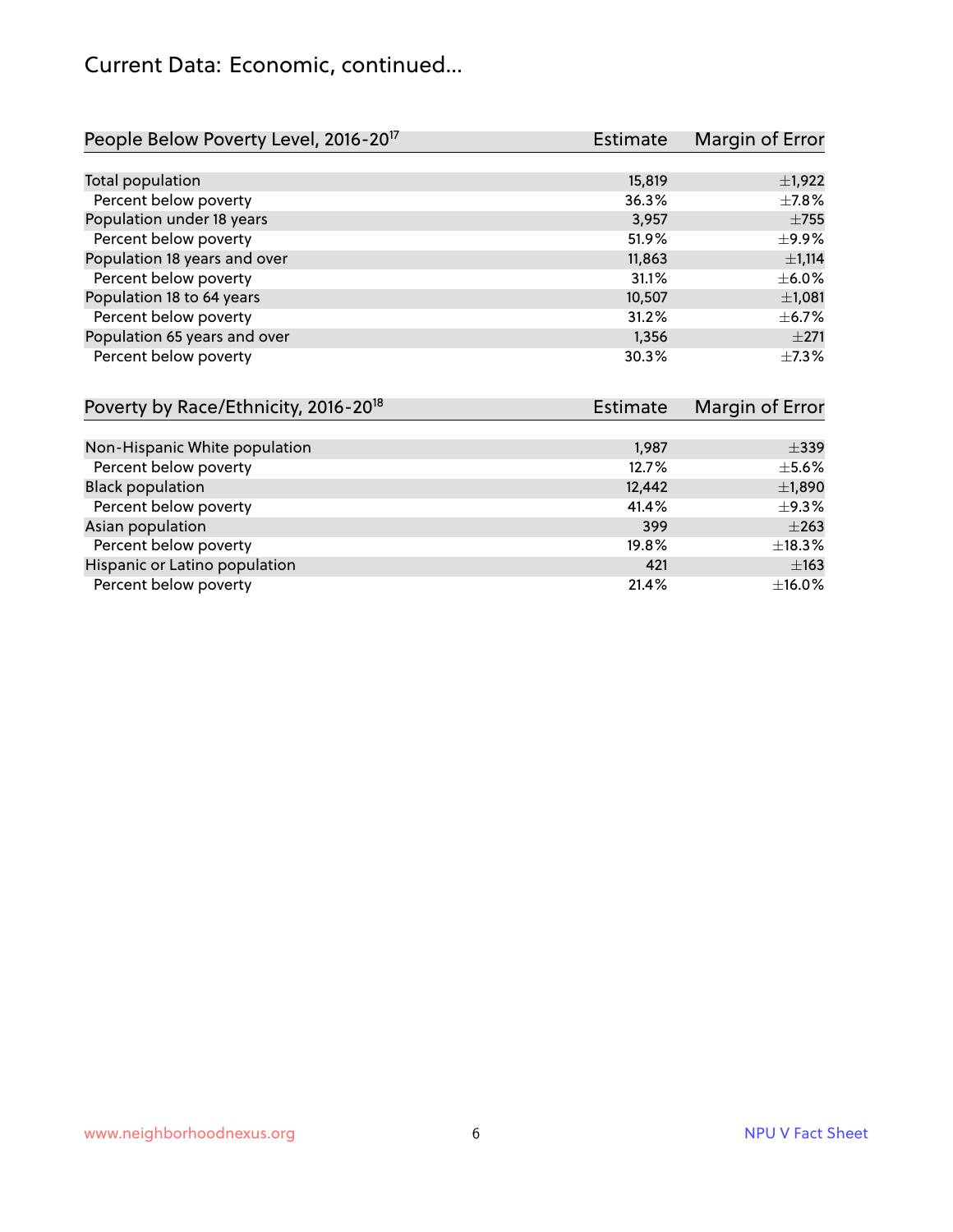#### Current Data: Economic, continued...

| People Below Poverty Level, 2016-20 <sup>17</sup> | <b>Estimate</b> | Margin of Error |
|---------------------------------------------------|-----------------|-----------------|
|                                                   |                 |                 |
| Total population                                  | 15,819          | $\pm$ 1,922     |
| Percent below poverty                             | 36.3%           | $\pm$ 7.8%      |
| Population under 18 years                         | 3,957           | $\pm 755$       |
| Percent below poverty                             | 51.9%           | $\pm$ 9.9%      |
| Population 18 years and over                      | 11,863          | $\pm$ 1,114     |
| Percent below poverty                             | 31.1%           | $\pm$ 6.0%      |
| Population 18 to 64 years                         | 10,507          | $\pm$ 1,081     |
| Percent below poverty                             | 31.2%           | $\pm$ 6.7%      |
| Population 65 years and over                      | 1,356           | $\pm 271$       |
| Percent below poverty                             | 30.3%           | $+7.3%$         |

| Poverty by Race/Ethnicity, 2016-20 <sup>18</sup><br>Estimate |        | Margin of Error |  |
|--------------------------------------------------------------|--------|-----------------|--|
|                                                              |        |                 |  |
| Non-Hispanic White population                                | 1,987  | $\pm$ 339       |  |
| Percent below poverty                                        | 12.7%  | $\pm$ 5.6%      |  |
| <b>Black population</b>                                      | 12,442 | $\pm$ 1,890     |  |
| Percent below poverty                                        | 41.4%  | $\pm$ 9.3%      |  |
| Asian population                                             | 399    | $\pm 263$       |  |
| Percent below poverty                                        | 19.8%  | $\pm$ 18.3%     |  |
| Hispanic or Latino population                                | 421    | $\pm 163$       |  |
| Percent below poverty                                        | 21.4%  | ±16.0%          |  |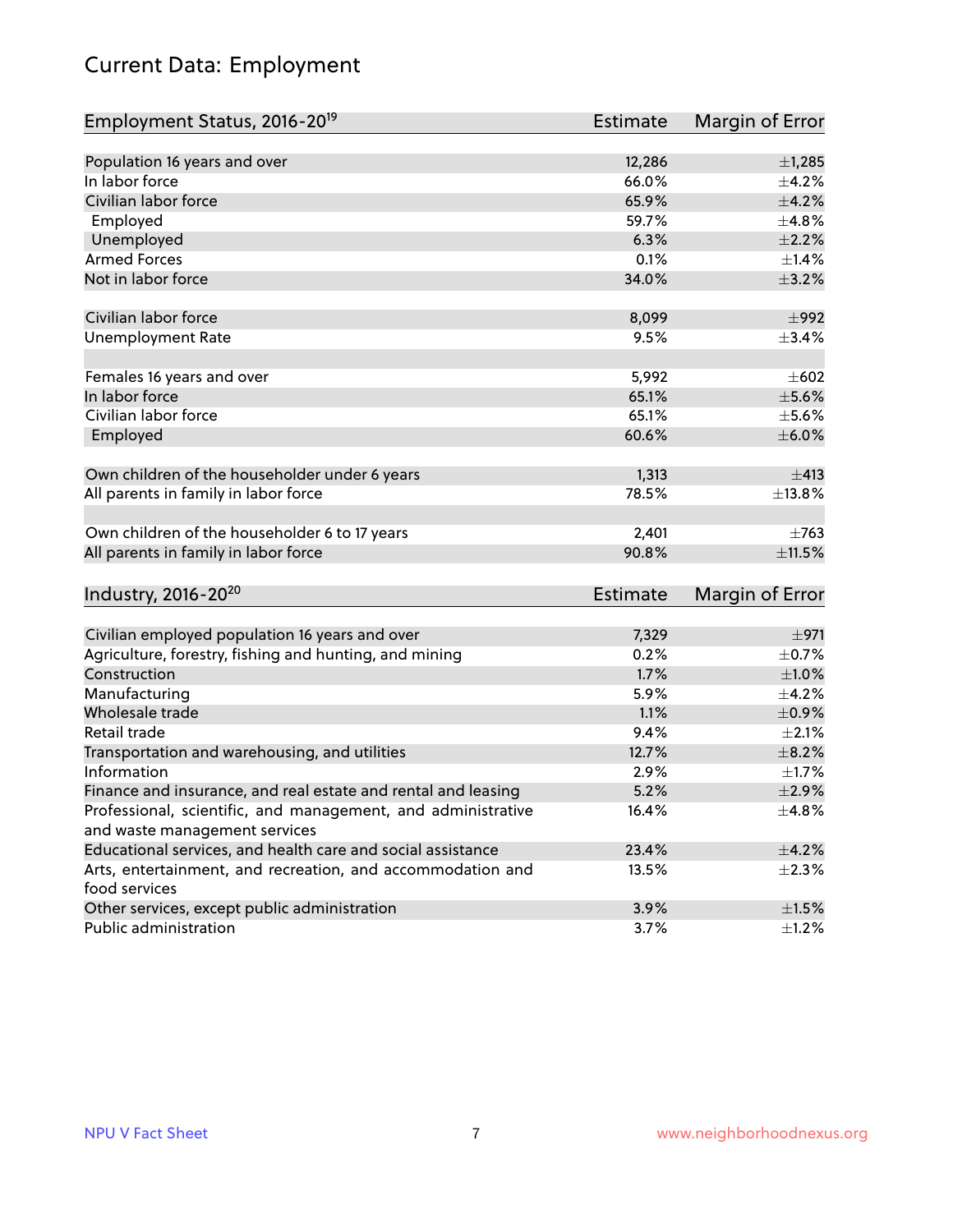## Current Data: Employment

| Employment Status, 2016-20 <sup>19</sup>                                    | <b>Estimate</b> | Margin of Error |
|-----------------------------------------------------------------------------|-----------------|-----------------|
|                                                                             |                 |                 |
| Population 16 years and over                                                | 12,286          | ±1,285          |
| In labor force                                                              | 66.0%           | $\pm$ 4.2%      |
| Civilian labor force                                                        | 65.9%           | $\pm$ 4.2%      |
| Employed                                                                    | 59.7%           | ±4.8%           |
| Unemployed                                                                  | 6.3%            | $\pm 2.2\%$     |
| <b>Armed Forces</b>                                                         | 0.1%            | $\pm$ 1.4%      |
| Not in labor force                                                          | 34.0%           | $\pm$ 3.2%      |
| Civilian labor force                                                        | 8,099           | $\pm$ 992       |
|                                                                             |                 |                 |
| <b>Unemployment Rate</b>                                                    | 9.5%            | $\pm$ 3.4%      |
| Females 16 years and over                                                   | 5,992           | $\pm 602$       |
| In labor force                                                              | 65.1%           | $\pm$ 5.6%      |
| Civilian labor force                                                        | 65.1%           | $\pm$ 5.6%      |
| Employed                                                                    | 60.6%           | $\pm$ 6.0%      |
|                                                                             |                 |                 |
| Own children of the householder under 6 years                               | 1,313           | $\pm 413$       |
| All parents in family in labor force                                        | 78.5%           | ±13.8%          |
|                                                                             |                 |                 |
| Own children of the householder 6 to 17 years                               | 2,401           | $\pm 763$       |
| All parents in family in labor force                                        | 90.8%           | ±11.5%          |
|                                                                             |                 |                 |
| Industry, 2016-20 <sup>20</sup>                                             | <b>Estimate</b> | Margin of Error |
|                                                                             |                 |                 |
| Civilian employed population 16 years and over                              | 7,329           | $\pm$ 971       |
| Agriculture, forestry, fishing and hunting, and mining                      | 0.2%            | $\pm$ 0.7%      |
| Construction                                                                | 1.7%            | ±1.0%           |
| Manufacturing                                                               | 5.9%            | $\pm$ 4.2%      |
| Wholesale trade                                                             | 1.1%            | $\pm$ 0.9%      |
| Retail trade                                                                | 9.4%            | $\pm 2.1\%$     |
| Transportation and warehousing, and utilities                               | 12.7%           | $\pm$ 8.2%      |
| Information                                                                 | 2.9%            | $\pm1.7\%$      |
| Finance and insurance, and real estate and rental and leasing               | 5.2%            | $\pm 2.9\%$     |
| Professional, scientific, and management, and administrative                | 16.4%           | ±4.8%           |
| and waste management services                                               |                 |                 |
| Educational services, and health care and social assistance                 | 23.4%           | $\pm$ 4.2%      |
| Arts, entertainment, and recreation, and accommodation and<br>food services | 13.5%           | $\pm 2.3\%$     |
| Other services, except public administration                                | 3.9%            | $\pm 1.5\%$     |
| Public administration                                                       | 3.7%            | $\pm$ 1.2%      |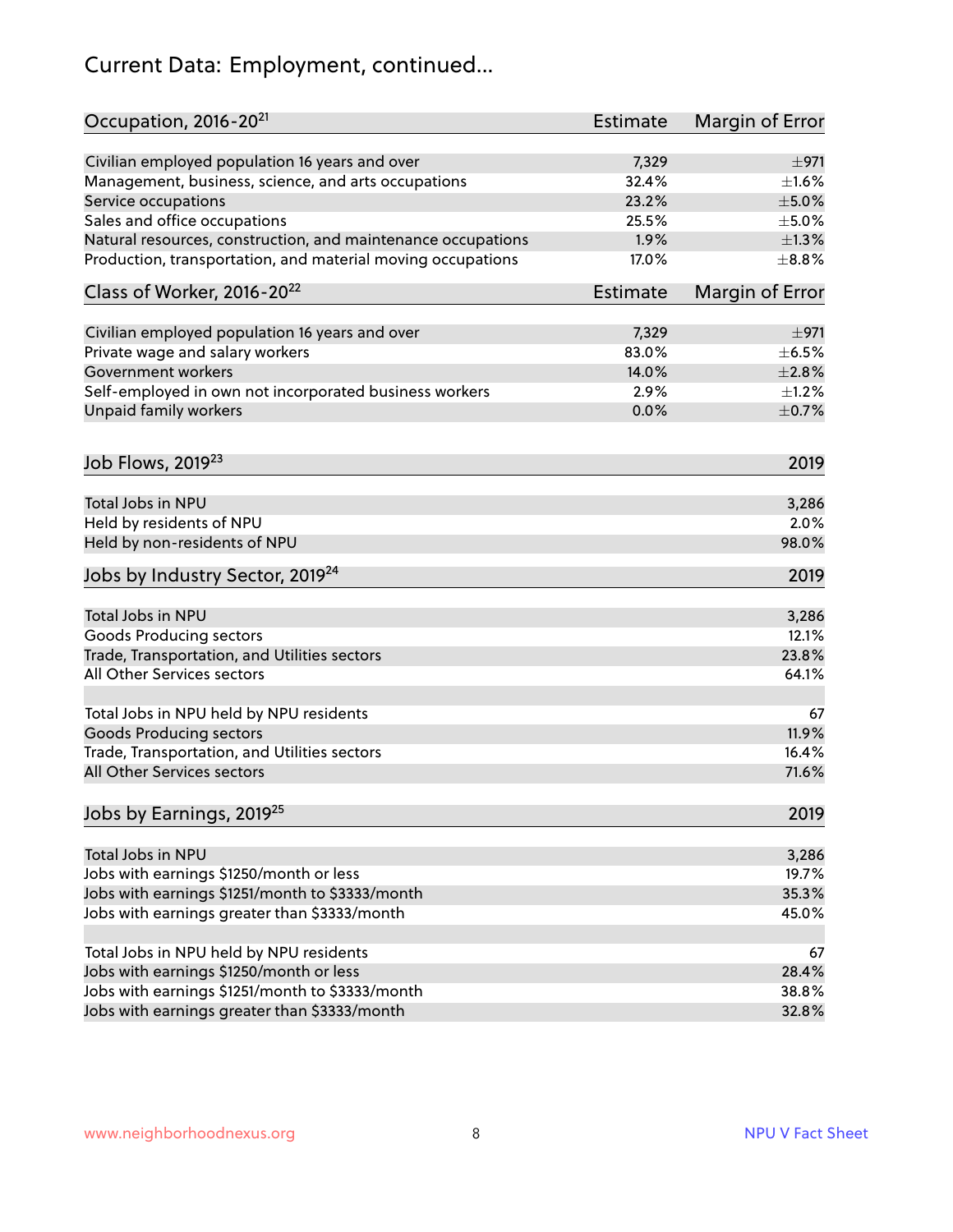## Current Data: Employment, continued...

| Occupation, 2016-20 <sup>21</sup>                                         | <b>Estimate</b> | Margin of Error |
|---------------------------------------------------------------------------|-----------------|-----------------|
| Civilian employed population 16 years and over                            | 7,329           | ±971            |
| Management, business, science, and arts occupations                       | 32.4%           | $\pm1.6\%$      |
| Service occupations                                                       | 23.2%           | $\pm$ 5.0%      |
| Sales and office occupations                                              | 25.5%           | $\pm$ 5.0%      |
| Natural resources, construction, and maintenance occupations              | 1.9%            | $\pm 1.3\%$     |
| Production, transportation, and material moving occupations               | 17.0%           | $\pm$ 8.8%      |
| Class of Worker, 2016-20 <sup>22</sup>                                    | <b>Estimate</b> | Margin of Error |
| Civilian employed population 16 years and over                            | 7,329           | ±971            |
| Private wage and salary workers                                           | 83.0%           | $\pm$ 6.5%      |
| <b>Government workers</b>                                                 | 14.0%           | ±2.8%           |
| Self-employed in own not incorporated business workers                    | 2.9%            | $\pm 1.2\%$     |
| Unpaid family workers                                                     | 0.0%            | $\pm$ 0.7%      |
| Job Flows, 2019 <sup>23</sup>                                             |                 | 2019            |
| Total Jobs in NPU                                                         |                 | 3,286           |
| Held by residents of NPU                                                  |                 | 2.0%            |
| Held by non-residents of NPU                                              |                 | 98.0%           |
| Jobs by Industry Sector, 2019 <sup>24</sup>                               |                 | 2019            |
| Total Jobs in NPU                                                         |                 | 3,286           |
| <b>Goods Producing sectors</b>                                            |                 | 12.1%           |
| Trade, Transportation, and Utilities sectors                              |                 | 23.8%           |
| All Other Services sectors                                                |                 | 64.1%           |
|                                                                           |                 |                 |
| Total Jobs in NPU held by NPU residents<br><b>Goods Producing sectors</b> |                 | 67<br>11.9%     |
| Trade, Transportation, and Utilities sectors                              |                 | 16.4%           |
| All Other Services sectors                                                |                 | 71.6%           |
| Jobs by Earnings, 2019 <sup>25</sup>                                      |                 | 2019            |
|                                                                           |                 |                 |
| Total Jobs in NPU                                                         |                 | 3,286           |
| Jobs with earnings \$1250/month or less                                   |                 | 19.7%           |
| Jobs with earnings \$1251/month to \$3333/month                           |                 | 35.3%           |
| Jobs with earnings greater than \$3333/month                              |                 | 45.0%           |
| Total Jobs in NPU held by NPU residents                                   |                 | 67              |
| Jobs with earnings \$1250/month or less                                   |                 | 28.4%           |
| Jobs with earnings \$1251/month to \$3333/month                           |                 | 38.8%           |
| Jobs with earnings greater than \$3333/month                              |                 | 32.8%           |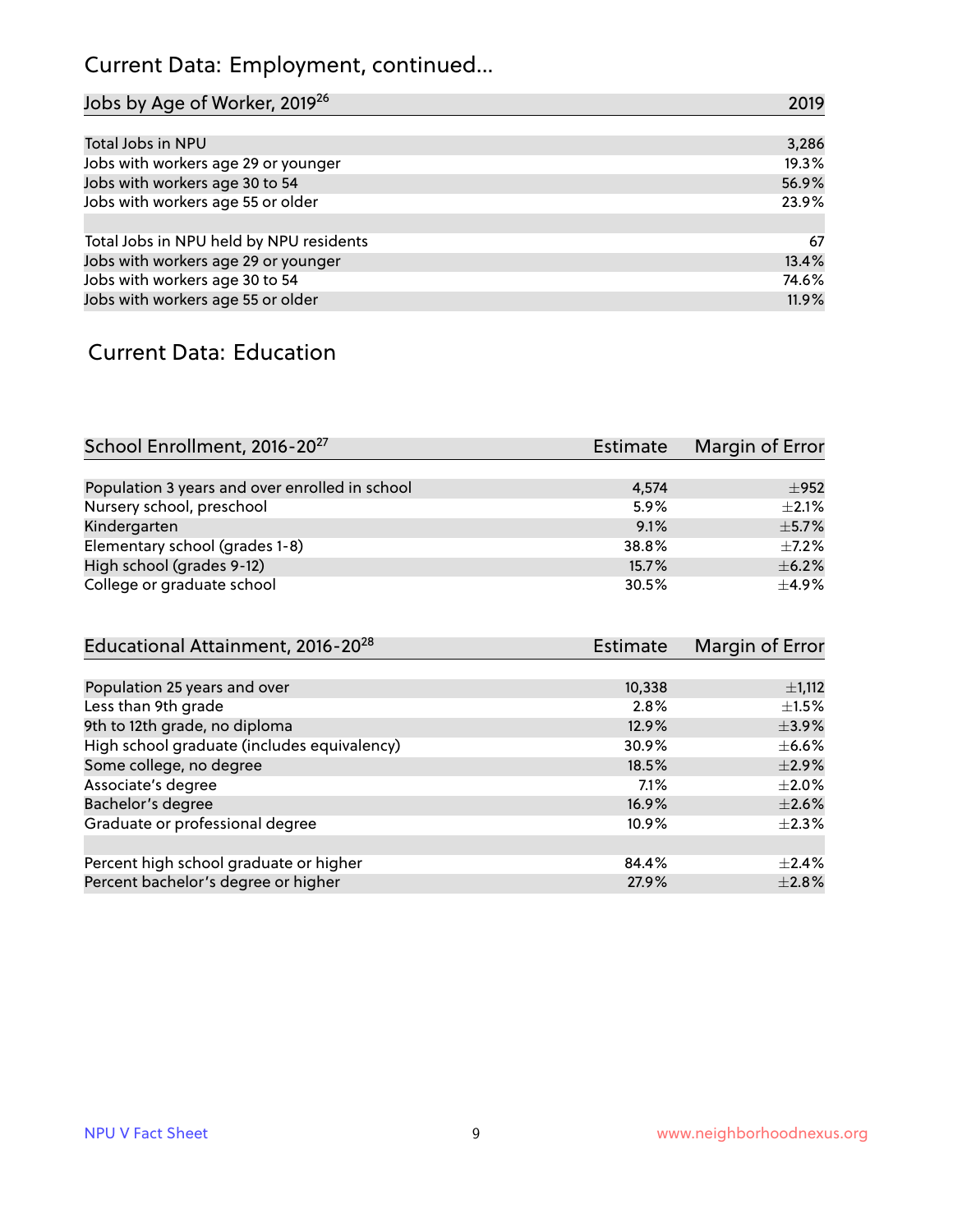## Current Data: Employment, continued...

| Jobs by Age of Worker, 2019 <sup>26</sup> | 2019  |
|-------------------------------------------|-------|
|                                           |       |
| Total Jobs in NPU                         | 3,286 |
| Jobs with workers age 29 or younger       | 19.3% |
| Jobs with workers age 30 to 54            | 56.9% |
| Jobs with workers age 55 or older         | 23.9% |
|                                           |       |
| Total Jobs in NPU held by NPU residents   | 67    |
| Jobs with workers age 29 or younger       | 13.4% |
| Jobs with workers age 30 to 54            | 74.6% |
| Jobs with workers age 55 or older         | 11.9% |

#### Current Data: Education

| School Enrollment, 2016-20 <sup>27</sup>       | Estimate | Margin of Error |
|------------------------------------------------|----------|-----------------|
|                                                |          |                 |
| Population 3 years and over enrolled in school | 4,574    | ±952            |
| Nursery school, preschool                      | 5.9%     | $+2.1%$         |
| Kindergarten                                   | 9.1%     | $\pm$ 5.7%      |
| Elementary school (grades 1-8)                 | 38.8%    | $\pm$ 7.2%      |
| High school (grades 9-12)                      | 15.7%    | $\pm$ 6.2%      |
| College or graduate school                     | 30.5%    | $\pm$ 4.9%      |

| Educational Attainment, 2016-20 <sup>28</sup> | <b>Estimate</b> | Margin of Error |
|-----------------------------------------------|-----------------|-----------------|
|                                               |                 |                 |
| Population 25 years and over                  | 10,338          | $\pm$ 1,112     |
| Less than 9th grade                           | 2.8%            | $\pm 1.5\%$     |
| 9th to 12th grade, no diploma                 | 12.9%           | $\pm$ 3.9%      |
| High school graduate (includes equivalency)   | 30.9%           | $\pm$ 6.6%      |
| Some college, no degree                       | 18.5%           | $\pm 2.9\%$     |
| Associate's degree                            | $7.1\%$         | $\pm 2.0\%$     |
| Bachelor's degree                             | 16.9%           | $\pm 2.6\%$     |
| Graduate or professional degree               | 10.9%           | $\pm 2.3\%$     |
|                                               |                 |                 |
| Percent high school graduate or higher        | 84.4%           | $+2.4%$         |
| Percent bachelor's degree or higher           | 27.9%           | $\pm 2.8\%$     |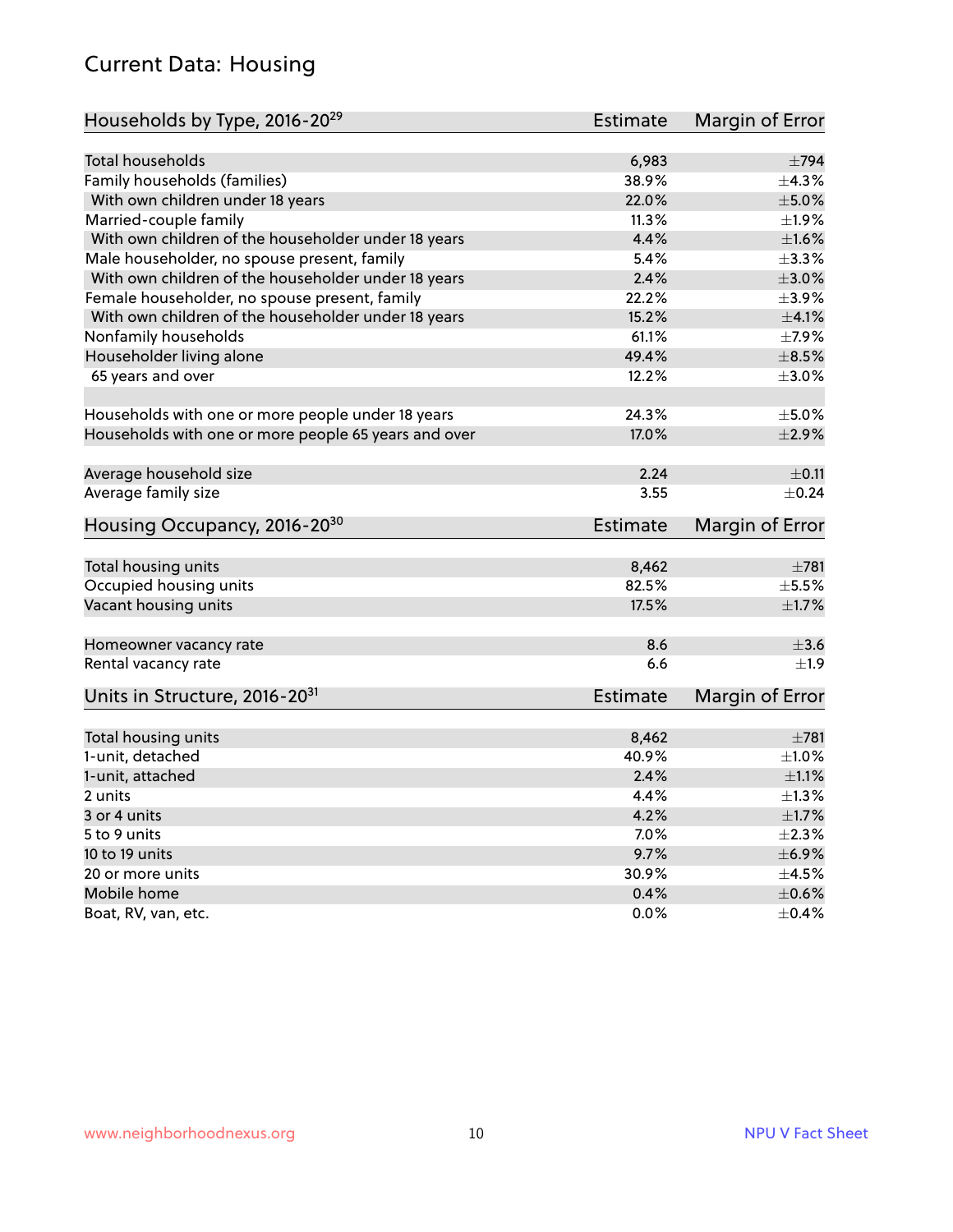#### Current Data: Housing

| Households by Type, 2016-20 <sup>29</sup>            | <b>Estimate</b> | Margin of Error        |
|------------------------------------------------------|-----------------|------------------------|
|                                                      |                 |                        |
| Total households                                     | 6,983           | $\pm 794$              |
| Family households (families)                         | 38.9%           | $\pm$ 4.3%             |
| With own children under 18 years                     | 22.0%           | $\pm$ 5.0%             |
| Married-couple family                                | 11.3%           | ±1.9%                  |
| With own children of the householder under 18 years  | 4.4%            | $\pm1.6\%$             |
| Male householder, no spouse present, family          | 5.4%            | $\pm$ 3.3%             |
| With own children of the householder under 18 years  | 2.4%            | $\pm 3.0\%$            |
| Female householder, no spouse present, family        | 22.2%           | $\pm$ 3.9%             |
| With own children of the householder under 18 years  | 15.2%           | $\pm 4.1\%$            |
| Nonfamily households                                 | 61.1%           | $\pm$ 7.9%             |
| Householder living alone                             | 49.4%           | $\pm$ 8.5%             |
| 65 years and over                                    | 12.2%           | $\pm$ 3.0%             |
|                                                      |                 |                        |
| Households with one or more people under 18 years    | 24.3%           | $\pm$ 5.0%             |
| Households with one or more people 65 years and over | 17.0%           | $\pm 2.9\%$            |
|                                                      |                 |                        |
| Average household size                               | 2.24            | $\pm$ 0.11             |
| Average family size                                  | 3.55            | $\pm$ 0.24             |
| Housing Occupancy, 2016-20 <sup>30</sup>             | <b>Estimate</b> | Margin of Error        |
| Total housing units                                  | 8,462           | $\pm 781$              |
| Occupied housing units                               | 82.5%           | $\pm$ 5.5%             |
| Vacant housing units                                 | 17.5%           | $\pm 1.7\%$            |
|                                                      |                 |                        |
| Homeowner vacancy rate                               | 8.6             | $\pm 3.6$              |
| Rental vacancy rate                                  | 6.6             | $+1.9$                 |
| Units in Structure, 2016-20 <sup>31</sup>            | Estimate        | <b>Margin of Error</b> |
|                                                      |                 |                        |
| Total housing units                                  | 8,462           | $\pm 781$              |
| 1-unit, detached                                     | 40.9%           | $\pm 1.0\%$            |
| 1-unit, attached                                     | 2.4%            | $\pm 1.1\%$            |
| 2 units                                              | 4.4%            | $\pm 1.3\%$            |
| 3 or 4 units                                         | 4.2%            | $\pm1.7\%$             |
| 5 to 9 units                                         | 7.0%            | $\pm 2.3\%$            |
| 10 to 19 units                                       | 9.7%            | ±6.9%                  |
| 20 or more units                                     | 30.9%           | $\pm 4.5\%$            |
| Mobile home                                          | 0.4%            | $\pm$ 0.6%             |
| Boat, RV, van, etc.                                  | $0.0\%$         | $\pm$ 0.4%             |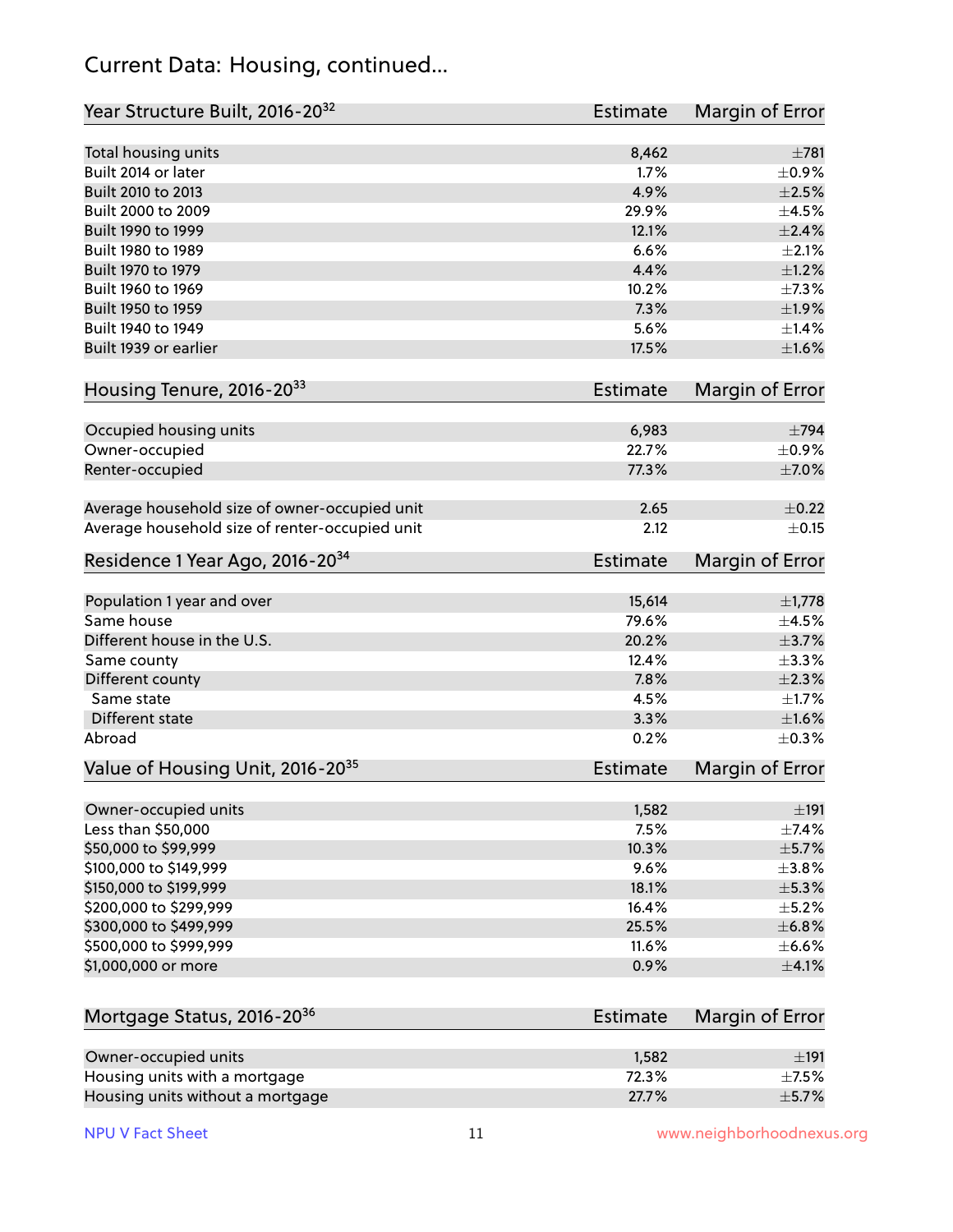#### Current Data: Housing, continued...

| Year Structure Built, 2016-20 <sup>32</sup>    | Estimate        | <b>Margin of Error</b> |
|------------------------------------------------|-----------------|------------------------|
| Total housing units                            | 8,462           | $\pm 781$              |
| Built 2014 or later                            | 1.7%            | $\pm$ 0.9%             |
| Built 2010 to 2013                             | 4.9%            | $\pm 2.5\%$            |
| Built 2000 to 2009                             | 29.9%           | $\pm 4.5\%$            |
| Built 1990 to 1999                             | 12.1%           | $\pm 2.4\%$            |
| Built 1980 to 1989                             | 6.6%            | $\pm 2.1\%$            |
| Built 1970 to 1979                             | 4.4%            | $\pm 1.2\%$            |
| Built 1960 to 1969                             | 10.2%           | ±7.3%                  |
| Built 1950 to 1959                             | 7.3%            | ±1.9%                  |
| Built 1940 to 1949                             | 5.6%            | $\pm$ 1.4%             |
| Built 1939 or earlier                          | 17.5%           | $\pm1.6\%$             |
| Housing Tenure, 2016-2033                      | Estimate        | Margin of Error        |
| Occupied housing units                         | 6,983           | $\pm 794$              |
| Owner-occupied                                 | 22.7%           | $\pm$ 0.9%             |
| Renter-occupied                                | 77.3%           | $\pm$ 7.0%             |
| Average household size of owner-occupied unit  | 2.65            | $\pm$ 0.22             |
| Average household size of renter-occupied unit | 2.12            | $\pm$ 0.15             |
| Residence 1 Year Ago, 2016-20 <sup>34</sup>    | <b>Estimate</b> | <b>Margin of Error</b> |
| Population 1 year and over                     | 15,614          | $\pm$ 1,778            |
| Same house                                     | 79.6%           | $\pm 4.5\%$            |
| Different house in the U.S.                    | 20.2%           | $\pm$ 3.7%             |
| Same county                                    | 12.4%           | ±3.3%                  |
| Different county                               | 7.8%            | $\pm 2.3\%$            |
| Same state                                     | 4.5%            | $\pm1.7\%$             |
| Different state                                | 3.3%            | $\pm1.6\%$             |
| Abroad                                         | 0.2%            | $\pm$ 0.3%             |
| Value of Housing Unit, 2016-20 <sup>35</sup>   | <b>Estimate</b> | Margin of Error        |
| Owner-occupied units                           | 1,582           | ±191                   |
| Less than \$50,000                             | 7.5%            | ±7.4%                  |
| \$50,000 to \$99,999                           | 10.3%           | $\pm$ 5.7%             |
| \$100,000 to \$149,999                         | 9.6%            | ±3.8%                  |
| \$150,000 to \$199,999                         | 18.1%           | $\pm$ 5.3%             |
| \$200,000 to \$299,999                         | 16.4%           | $\pm$ 5.2%             |
| \$300,000 to \$499,999                         | 25.5%           | ±6.8%                  |
| \$500,000 to \$999,999                         | 11.6%           | $\pm$ 6.6%             |
| \$1,000,000 or more                            | 0.9%            | $\pm$ 4.1%             |
| Mortgage Status, 2016-20 <sup>36</sup>         | Estimate        | Margin of Error        |
| Owner-occupied units                           | 1,582           | ±191                   |
| Housing units with a mortgage                  | 72.3%           | $\pm$ 7.5%             |
|                                                |                 |                        |

Housing units without a mortgage  $\pm$  5.7%  $\pm$  5.7%  $\pm$  5.7%  $\pm$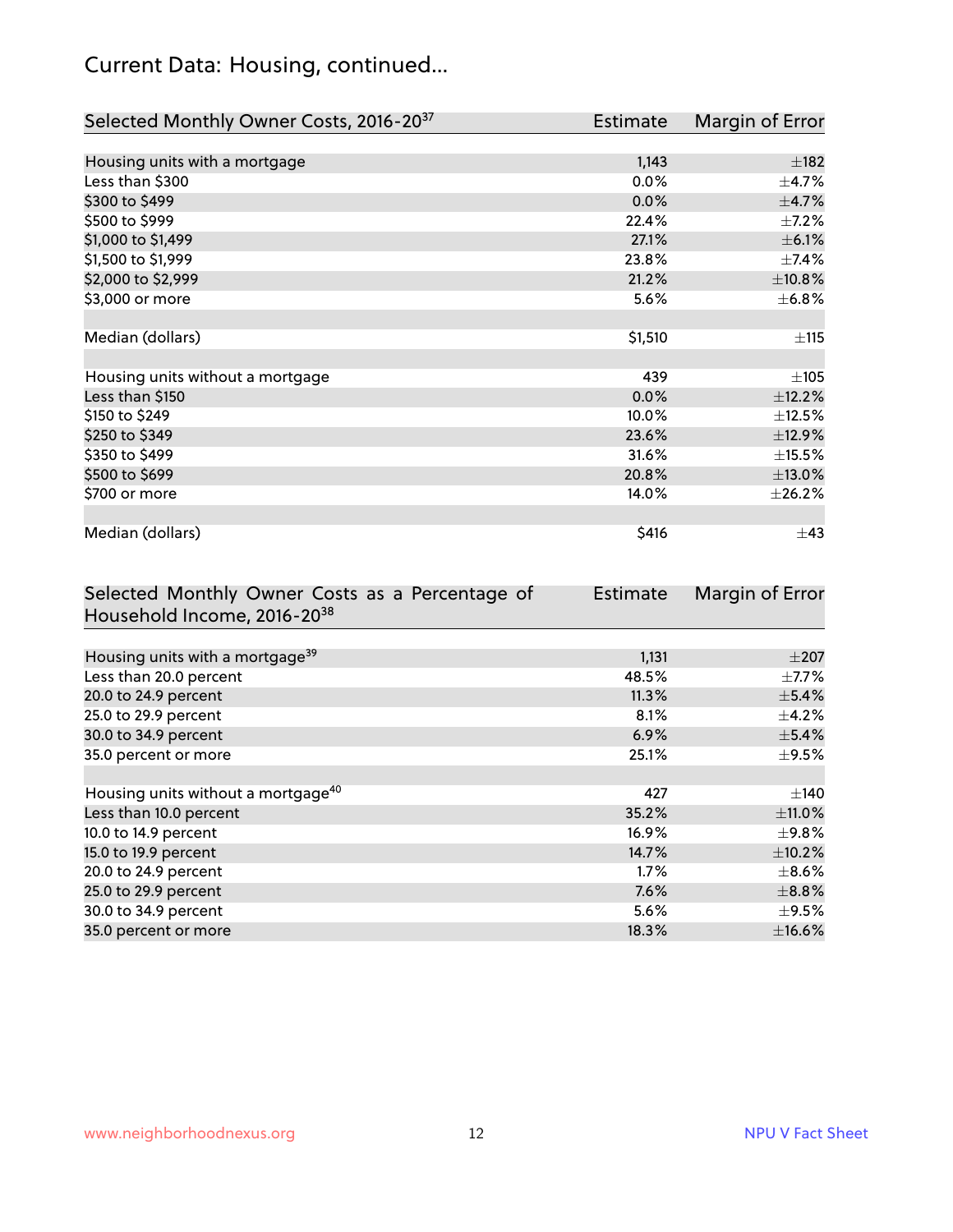## Current Data: Housing, continued...

| Selected Monthly Owner Costs, 2016-20 <sup>37</sup> | Estimate | Margin of Error |
|-----------------------------------------------------|----------|-----------------|
|                                                     |          |                 |
| Housing units with a mortgage                       | 1,143    | $\pm$ 182       |
| Less than \$300                                     | 0.0%     | $\pm$ 4.7%      |
| \$300 to \$499                                      | 0.0%     | $\pm$ 4.7%      |
| \$500 to \$999                                      | 22.4%    | $\pm$ 7.2%      |
| \$1,000 to \$1,499                                  | 27.1%    | $\pm$ 6.1%      |
| \$1,500 to \$1,999                                  | 23.8%    | $\pm$ 7.4%      |
| \$2,000 to \$2,999                                  | 21.2%    | ±10.8%          |
| \$3,000 or more                                     | 5.6%     | $\pm$ 6.8%      |
|                                                     |          |                 |
| Median (dollars)                                    | \$1,510  | ±115            |
|                                                     |          |                 |
| Housing units without a mortgage                    | 439      | ±105            |
| Less than \$150                                     | 0.0%     | ±12.2%          |
| \$150 to \$249                                      | 10.0%    | $\pm$ 12.5%     |
| \$250 to \$349                                      | 23.6%    | ±12.9%          |
| \$350 to \$499                                      | 31.6%    | $\pm$ 15.5%     |
| \$500 to \$699                                      | 20.8%    | ±13.0%          |
| \$700 or more                                       | 14.0%    | ±26.2%          |
|                                                     |          |                 |
| Median (dollars)                                    | \$416    | $\pm$ 43        |

| Selected Monthly Owner Costs as a Percentage of | <b>Estimate</b> | Margin of Error |
|-------------------------------------------------|-----------------|-----------------|
| Household Income, 2016-20 <sup>38</sup>         |                 |                 |
|                                                 |                 |                 |
| Housing units with a mortgage <sup>39</sup>     | 1,131           | $\pm 207$       |
| Less than 20.0 percent                          | 48.5%           | $\pm$ 7.7%      |
| 20.0 to 24.9 percent                            | 11.3%           | $\pm$ 5.4%      |
| 25.0 to 29.9 percent                            | 8.1%            | $\pm$ 4.2%      |
| 30.0 to 34.9 percent                            | 6.9%            | $\pm$ 5.4%      |
| 35.0 percent or more                            | 25.1%           | $\pm$ 9.5%      |
|                                                 |                 |                 |
| Housing units without a mortgage <sup>40</sup>  | 427             | $\pm$ 140       |
| Less than 10.0 percent                          | 35.2%           | ±11.0%          |
| 10.0 to 14.9 percent                            | 16.9%           | $\pm$ 9.8%      |
| 15.0 to 19.9 percent                            | 14.7%           | $\pm$ 10.2%     |
| 20.0 to 24.9 percent                            | $1.7\%$         | $\pm$ 8.6%      |
| 25.0 to 29.9 percent                            | 7.6%            | $\pm$ 8.8%      |
| 30.0 to 34.9 percent                            | 5.6%            | $\pm$ 9.5%      |
| 35.0 percent or more                            | 18.3%           | ±16.6%          |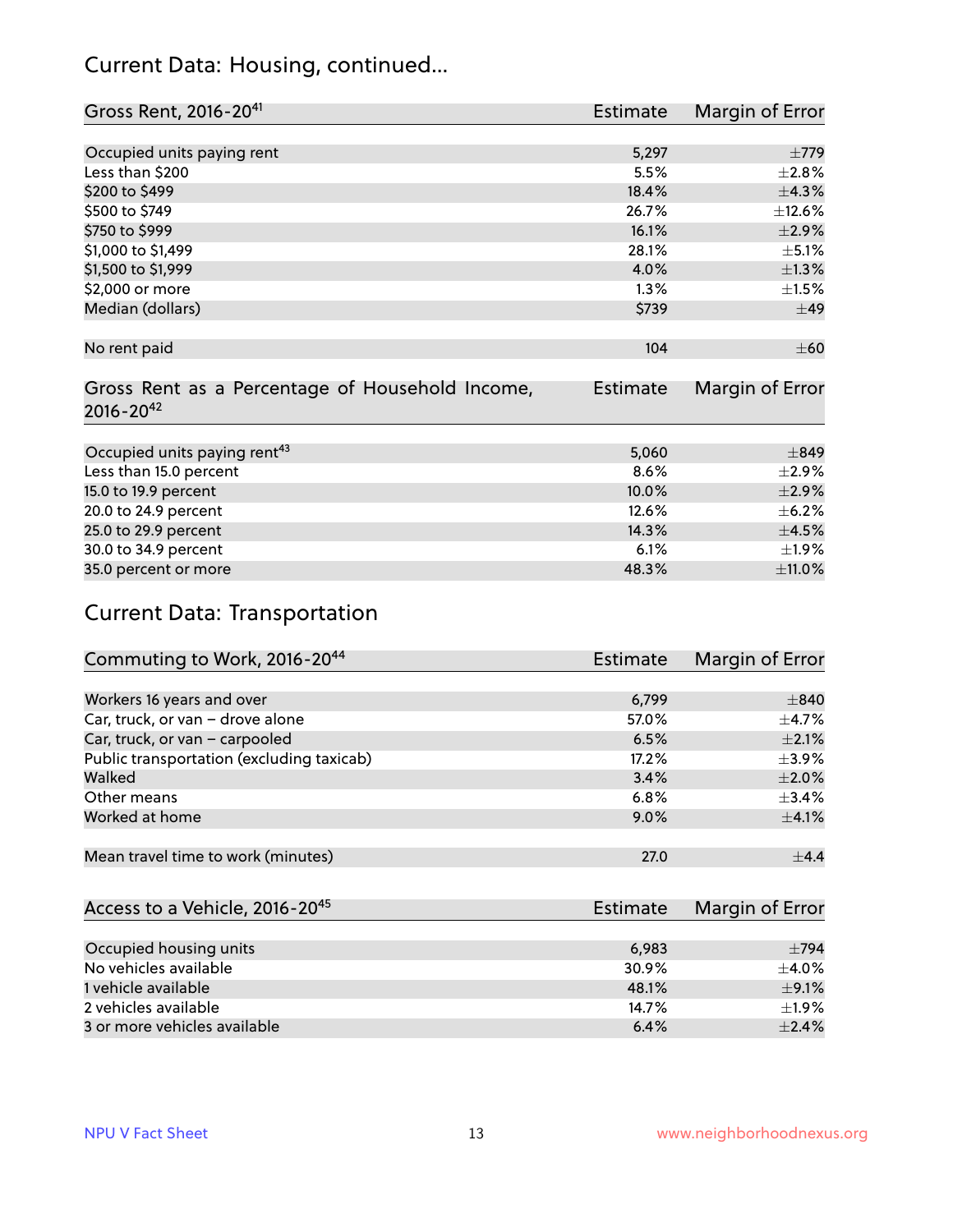#### Current Data: Housing, continued...

| Gross Rent, 2016-20 <sup>41</sup>               | Estimate | Margin of Error |
|-------------------------------------------------|----------|-----------------|
|                                                 |          |                 |
| Occupied units paying rent                      | 5,297    | $\pm 779$       |
| Less than \$200                                 | 5.5%     | $\pm 2.8\%$     |
| \$200 to \$499                                  | 18.4%    | ±4.3%           |
| \$500 to \$749                                  | 26.7%    | ±12.6%          |
| \$750 to \$999                                  | 16.1%    | $\pm 2.9\%$     |
| \$1,000 to \$1,499                              | 28.1%    | $\pm$ 5.1%      |
| \$1,500 to \$1,999                              | 4.0%     | $\pm$ 1.3%      |
| \$2,000 or more                                 | 1.3%     | $\pm 1.5\%$     |
| Median (dollars)                                | \$739    | ±49             |
|                                                 |          |                 |
| No rent paid                                    | 104      | $\pm 60$        |
|                                                 |          |                 |
| Gross Rent as a Percentage of Household Income, | Estimate | Margin of Error |
| $2016 - 20^{42}$                                |          |                 |
|                                                 |          |                 |
| Occupied units paying rent <sup>43</sup>        | 5,060    | $\pm$ 849       |
| Less than 15.0 percent                          | 8.6%     | $\pm 2.9\%$     |
| 15.0 to 19.9 percent                            | 10.0%    | $\pm 2.9\%$     |
| 20.0 to 24.9 percent                            | 12.6%    | $\pm$ 6.2%      |
| 25.0 to 29.9 percent                            | 14.3%    | $\pm$ 4.5%      |
| 30.0 to 34.9 percent                            | 6.1%     | $\pm 1.9\%$     |
| 35.0 percent or more                            | 48.3%    | $\pm$ 11.0%     |

## Current Data: Transportation

| Commuting to Work, 2016-20 <sup>44</sup>  | Estimate | Margin of Error |
|-------------------------------------------|----------|-----------------|
|                                           |          |                 |
| Workers 16 years and over                 | 6,799    | $\pm 840$       |
| Car, truck, or van - drove alone          | 57.0%    | $\pm$ 4.7%      |
| Car, truck, or van - carpooled            | 6.5%     | $\pm 2.1\%$     |
| Public transportation (excluding taxicab) | 17.2%    | $\pm$ 3.9%      |
| Walked                                    | 3.4%     | $\pm 2.0\%$     |
| Other means                               | 6.8%     | ±3.4%           |
| Worked at home                            | 9.0%     | $\pm$ 4.1%      |
|                                           |          |                 |
| Mean travel time to work (minutes)        | 27.0     | $\pm$ 4.4       |

| Access to a Vehicle, 2016-20 <sup>45</sup> | Estimate | Margin of Error |
|--------------------------------------------|----------|-----------------|
|                                            |          |                 |
| Occupied housing units                     | 6,983    | $\pm$ 794       |
| No vehicles available                      | 30.9%    | $+4.0\%$        |
| 1 vehicle available                        | 48.1%    | $\pm$ 9.1%      |
| 2 vehicles available                       | 14.7%    | ±1.9%           |
| 3 or more vehicles available               | 6.4%     | $\pm$ 2.4%      |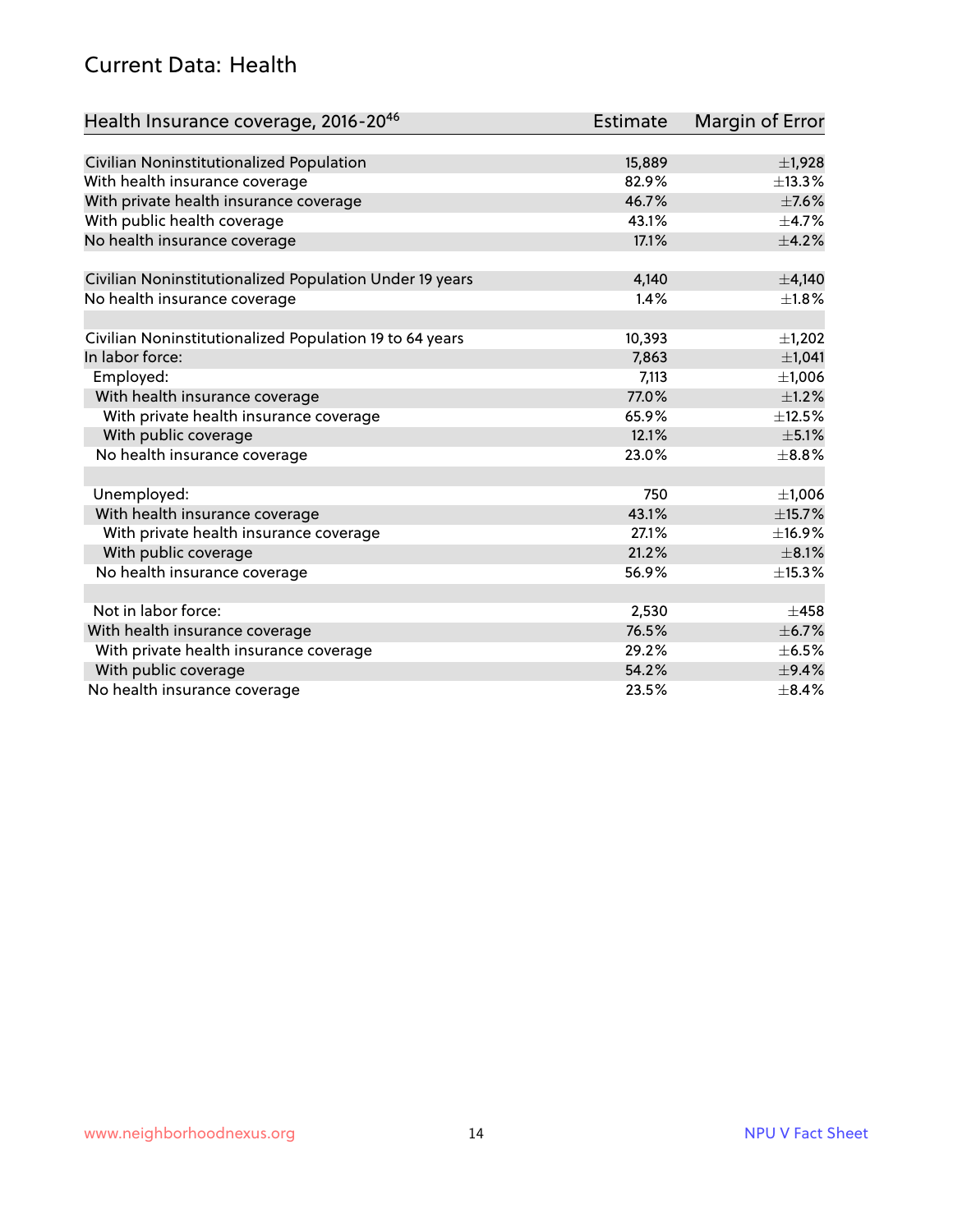#### Current Data: Health

| Health Insurance coverage, 2016-2046                    | <b>Estimate</b> | Margin of Error |
|---------------------------------------------------------|-----------------|-----------------|
|                                                         |                 |                 |
| Civilian Noninstitutionalized Population                | 15,889          | $\pm$ 1,928     |
| With health insurance coverage                          | 82.9%           | ±13.3%          |
| With private health insurance coverage                  | 46.7%           | $\pm$ 7.6%      |
| With public health coverage                             | 43.1%           | $\pm$ 4.7%      |
| No health insurance coverage                            | 17.1%           | $\pm$ 4.2%      |
| Civilian Noninstitutionalized Population Under 19 years | 4,140           | $\pm$ 4,140     |
| No health insurance coverage                            | 1.4%            | $\pm1.8\%$      |
|                                                         |                 |                 |
| Civilian Noninstitutionalized Population 19 to 64 years | 10,393          | $\pm$ 1,202     |
| In labor force:                                         | 7,863           | ±1,041          |
| Employed:                                               | 7,113           | ±1,006          |
| With health insurance coverage                          | 77.0%           | $\pm$ 1.2%      |
| With private health insurance coverage                  | 65.9%           | $\pm$ 12.5%     |
| With public coverage                                    | 12.1%           | $\pm$ 5.1%      |
| No health insurance coverage                            | 23.0%           | $\pm$ 8.8%      |
|                                                         |                 |                 |
| Unemployed:                                             | 750             | ±1,006          |
| With health insurance coverage                          | 43.1%           | ±15.7%          |
| With private health insurance coverage                  | 27.1%           | ±16.9%          |
| With public coverage                                    | 21.2%           | $\pm$ 8.1%      |
| No health insurance coverage                            | 56.9%           | ±15.3%          |
|                                                         |                 |                 |
| Not in labor force:                                     | 2,530           | $\pm 458$       |
| With health insurance coverage                          | 76.5%           | $\pm$ 6.7%      |
| With private health insurance coverage                  | 29.2%           | $\pm$ 6.5%      |
| With public coverage                                    | 54.2%           | $\pm$ 9.4%      |
| No health insurance coverage                            | 23.5%           | $\pm$ 8.4%      |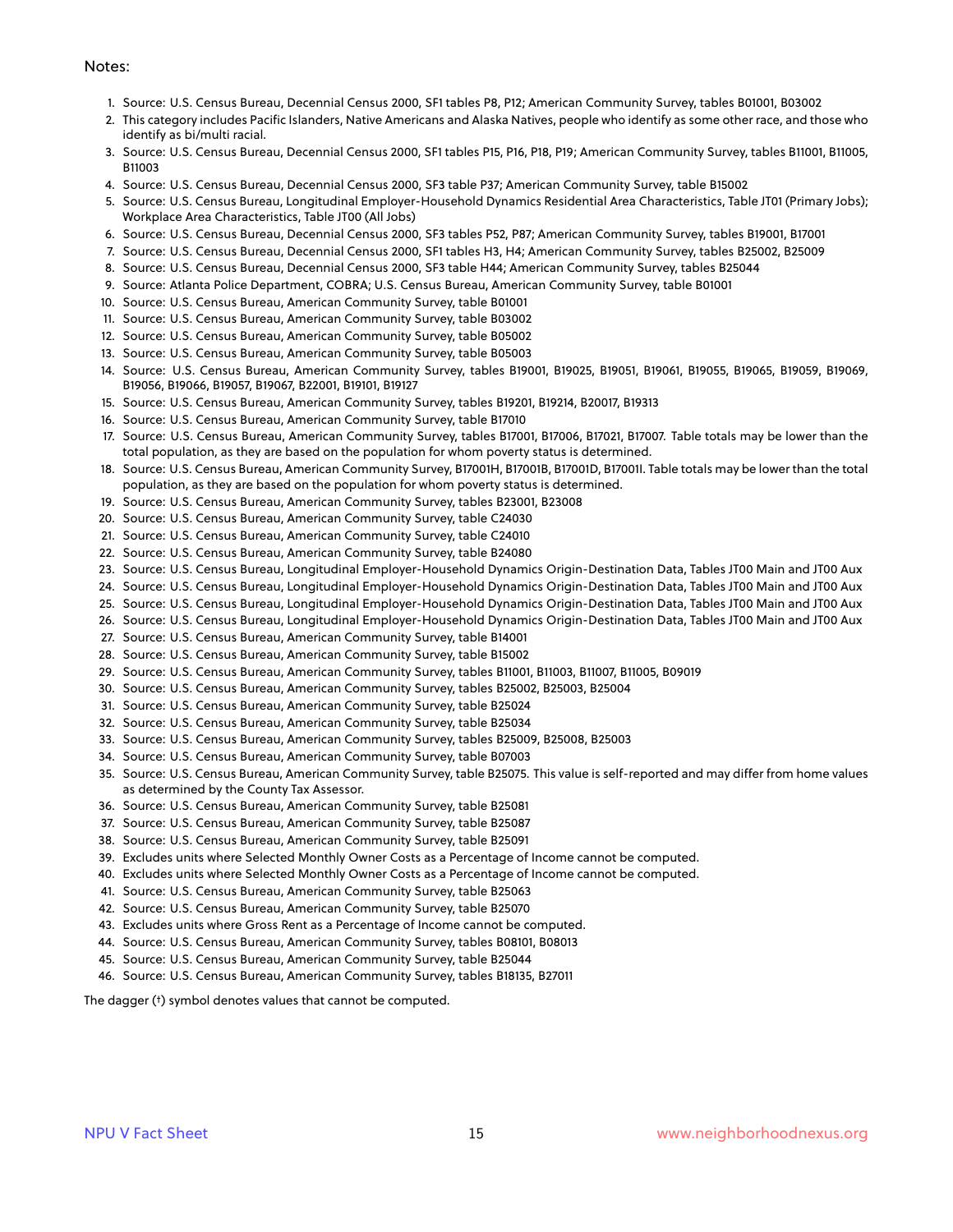#### Notes:

- 1. Source: U.S. Census Bureau, Decennial Census 2000, SF1 tables P8, P12; American Community Survey, tables B01001, B03002
- 2. This category includes Pacific Islanders, Native Americans and Alaska Natives, people who identify as some other race, and those who identify as bi/multi racial.
- 3. Source: U.S. Census Bureau, Decennial Census 2000, SF1 tables P15, P16, P18, P19; American Community Survey, tables B11001, B11005, B11003
- 4. Source: U.S. Census Bureau, Decennial Census 2000, SF3 table P37; American Community Survey, table B15002
- 5. Source: U.S. Census Bureau, Longitudinal Employer-Household Dynamics Residential Area Characteristics, Table JT01 (Primary Jobs); Workplace Area Characteristics, Table JT00 (All Jobs)
- 6. Source: U.S. Census Bureau, Decennial Census 2000, SF3 tables P52, P87; American Community Survey, tables B19001, B17001
- 7. Source: U.S. Census Bureau, Decennial Census 2000, SF1 tables H3, H4; American Community Survey, tables B25002, B25009
- 8. Source: U.S. Census Bureau, Decennial Census 2000, SF3 table H44; American Community Survey, tables B25044
- 9. Source: Atlanta Police Department, COBRA; U.S. Census Bureau, American Community Survey, table B01001
- 10. Source: U.S. Census Bureau, American Community Survey, table B01001
- 11. Source: U.S. Census Bureau, American Community Survey, table B03002
- 12. Source: U.S. Census Bureau, American Community Survey, table B05002
- 13. Source: U.S. Census Bureau, American Community Survey, table B05003
- 14. Source: U.S. Census Bureau, American Community Survey, tables B19001, B19025, B19051, B19061, B19055, B19065, B19059, B19069, B19056, B19066, B19057, B19067, B22001, B19101, B19127
- 15. Source: U.S. Census Bureau, American Community Survey, tables B19201, B19214, B20017, B19313
- 16. Source: U.S. Census Bureau, American Community Survey, table B17010
- 17. Source: U.S. Census Bureau, American Community Survey, tables B17001, B17006, B17021, B17007. Table totals may be lower than the total population, as they are based on the population for whom poverty status is determined.
- 18. Source: U.S. Census Bureau, American Community Survey, B17001H, B17001B, B17001D, B17001I. Table totals may be lower than the total population, as they are based on the population for whom poverty status is determined.
- 19. Source: U.S. Census Bureau, American Community Survey, tables B23001, B23008
- 20. Source: U.S. Census Bureau, American Community Survey, table C24030
- 21. Source: U.S. Census Bureau, American Community Survey, table C24010
- 22. Source: U.S. Census Bureau, American Community Survey, table B24080
- 23. Source: U.S. Census Bureau, Longitudinal Employer-Household Dynamics Origin-Destination Data, Tables JT00 Main and JT00 Aux
- 24. Source: U.S. Census Bureau, Longitudinal Employer-Household Dynamics Origin-Destination Data, Tables JT00 Main and JT00 Aux
- 25. Source: U.S. Census Bureau, Longitudinal Employer-Household Dynamics Origin-Destination Data, Tables JT00 Main and JT00 Aux
- 26. Source: U.S. Census Bureau, Longitudinal Employer-Household Dynamics Origin-Destination Data, Tables JT00 Main and JT00 Aux
- 27. Source: U.S. Census Bureau, American Community Survey, table B14001
- 28. Source: U.S. Census Bureau, American Community Survey, table B15002
- 29. Source: U.S. Census Bureau, American Community Survey, tables B11001, B11003, B11007, B11005, B09019
- 30. Source: U.S. Census Bureau, American Community Survey, tables B25002, B25003, B25004
- 31. Source: U.S. Census Bureau, American Community Survey, table B25024
- 32. Source: U.S. Census Bureau, American Community Survey, table B25034
- 33. Source: U.S. Census Bureau, American Community Survey, tables B25009, B25008, B25003
- 34. Source: U.S. Census Bureau, American Community Survey, table B07003
- 35. Source: U.S. Census Bureau, American Community Survey, table B25075. This value is self-reported and may differ from home values as determined by the County Tax Assessor.
- 36. Source: U.S. Census Bureau, American Community Survey, table B25081
- 37. Source: U.S. Census Bureau, American Community Survey, table B25087
- 38. Source: U.S. Census Bureau, American Community Survey, table B25091
- 39. Excludes units where Selected Monthly Owner Costs as a Percentage of Income cannot be computed.
- 40. Excludes units where Selected Monthly Owner Costs as a Percentage of Income cannot be computed.
- 41. Source: U.S. Census Bureau, American Community Survey, table B25063
- 42. Source: U.S. Census Bureau, American Community Survey, table B25070
- 43. Excludes units where Gross Rent as a Percentage of Income cannot be computed.
- 44. Source: U.S. Census Bureau, American Community Survey, tables B08101, B08013
- 45. Source: U.S. Census Bureau, American Community Survey, table B25044
- 46. Source: U.S. Census Bureau, American Community Survey, tables B18135, B27011

The dagger (†) symbol denotes values that cannot be computed.